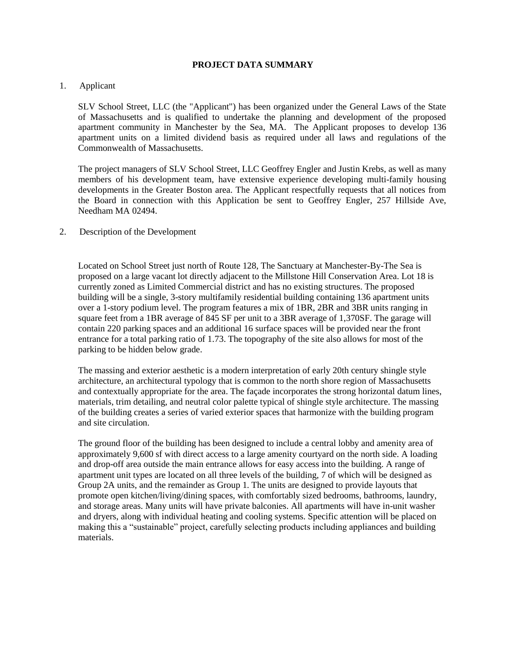#### **PROJECT DATA SUMMARY**

## 1. Applicant

SLV School Street, LLC (the "Applicant") has been organized under the General Laws of the State of Massachusetts and is qualified to undertake the planning and development of the proposed apartment community in Manchester by the Sea, MA. The Applicant proposes to develop 136 apartment units on a limited dividend basis as required under all laws and regulations of the Commonwealth of Massachusetts.

The project managers of SLV School Street, LLC Geoffrey Engler and Justin Krebs, as well as many members of his development team, have extensive experience developing multi-family housing developments in the Greater Boston area. The Applicant respectfully requests that all notices from the Board in connection with this Application be sent to Geoffrey Engler, 257 Hillside Ave, Needham MA 02494.

## 2. Description of the Development

Located on School Street just north of Route 128, The Sanctuary at Manchester-By-The Sea is proposed on a large vacant lot directly adjacent to the Millstone Hill Conservation Area. Lot 18 is currently zoned as Limited Commercial district and has no existing structures. The proposed building will be a single, 3-story multifamily residential building containing 136 apartment units over a 1-story podium level. The program features a mix of 1BR, 2BR and 3BR units ranging in square feet from a 1BR average of 845 SF per unit to a 3BR average of 1,370SF. The garage will contain 220 parking spaces and an additional 16 surface spaces will be provided near the front entrance for a total parking ratio of 1.73. The topography of the site also allows for most of the parking to be hidden below grade.

The massing and exterior aesthetic is a modern interpretation of early 20th century shingle style architecture, an architectural typology that is common to the north shore region of Massachusetts and contextually appropriate for the area. The façade incorporates the strong horizontal datum lines, materials, trim detailing, and neutral color palette typical of shingle style architecture. The massing of the building creates a series of varied exterior spaces that harmonize with the building program and site circulation.

The ground floor of the building has been designed to include a central lobby and amenity area of approximately 9,600 sf with direct access to a large amenity courtyard on the north side. A loading and drop-off area outside the main entrance allows for easy access into the building. A range of apartment unit types are located on all three levels of the building, 7 of which will be designed as Group 2A units, and the remainder as Group 1. The units are designed to provide layouts that promote open kitchen/living/dining spaces, with comfortably sized bedrooms, bathrooms, laundry, and storage areas. Many units will have private balconies. All apartments will have in-unit washer and dryers, along with individual heating and cooling systems. Specific attention will be placed on making this a "sustainable" project, carefully selecting products including appliances and building materials.